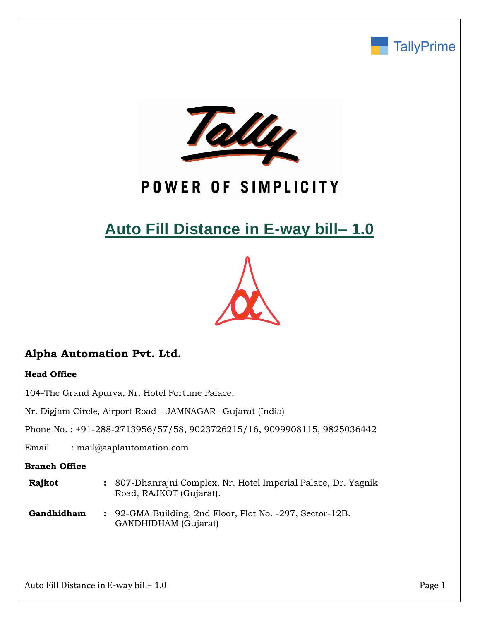



# POWER OF SIMPLICITY

# **Auto Fill Distance in E-way bill– 1.0**



# **Alpha Automation Pvt. Ltd.**

## **Head Office**

104-The Grand Apurva, Nr. Hotel Fortune Palace,

Nr. Digjam Circle, Airport Road - JAMNAGAR –Gujarat (India)

Phone No. : +91-288-2713956/57/58, 9023726215/16, 9099908115, 9825036442

Email : mail@aaplautomation.com

### **Branch Office**

| <b>Rajkot</b> | : 807-Dhanrajni Complex, Nr. Hotel Imperial Palace, Dr. Yagnik |
|---------------|----------------------------------------------------------------|
|               | Road, RAJKOT (Gujarat).                                        |

**Gandhidham :** 92-GMA Building, 2nd Floor, Plot No. -297, Sector-12B. GANDHIDHAM (Gujarat)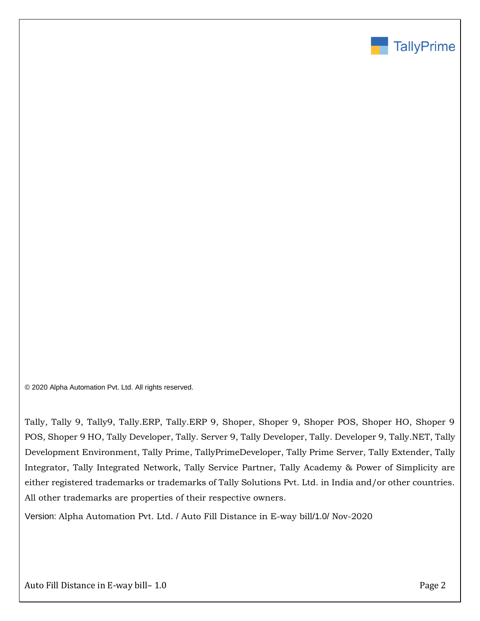

© 2020 Alpha Automation Pvt. Ltd. All rights reserved.

Tally, Tally 9, Tally9, Tally.ERP, Tally.ERP 9, Shoper, Shoper 9, Shoper POS, Shoper HO, Shoper 9 POS, Shoper 9 HO, Tally Developer, Tally. Server 9, Tally Developer, Tally. Developer 9, Tally.NET, Tally Development Environment, Tally Prime, TallyPrimeDeveloper, Tally Prime Server, Tally Extender, Tally Integrator, Tally Integrated Network, Tally Service Partner, Tally Academy & Power of Simplicity are either registered trademarks or trademarks of Tally Solutions Pvt. Ltd. in India and/or other countries. All other trademarks are properties of their respective owners.

Version: Alpha Automation Pvt. Ltd. / Auto Fill Distance in E-way bill/1.0/ Nov-2020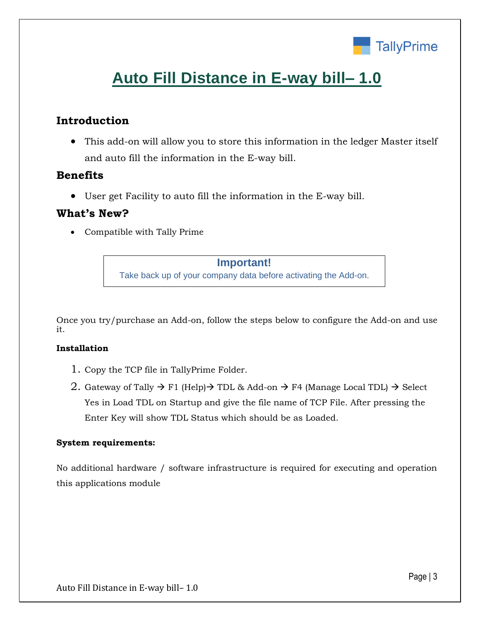

# **Auto Fill Distance in E-way bill– 1.0**

## **Introduction**

• This add-on will allow you to store this information in the ledger Master itself and auto fill the information in the E-way bill.

## **Benefits**

• User get Facility to auto fill the information in the E-way bill.

## **What's New?**

• Compatible with Tally Prime

## **Important!**

Take back up of your company data before activating the Add-on.

Once you try/purchase an Add-on, follow the steps below to configure the Add-on and use it.

### **Installation**

- 1. Copy the TCP file in TallyPrime Folder.
- 2. Gateway of Tally  $\rightarrow$  F1 (Help) $\rightarrow$  TDL & Add-on  $\rightarrow$  F4 (Manage Local TDL)  $\rightarrow$  Select Yes in Load TDL on Startup and give the file name of TCP File. After pressing the Enter Key will show TDL Status which should be as Loaded.

## **System requirements:**

No additional hardware / software infrastructure is required for executing and operation this applications module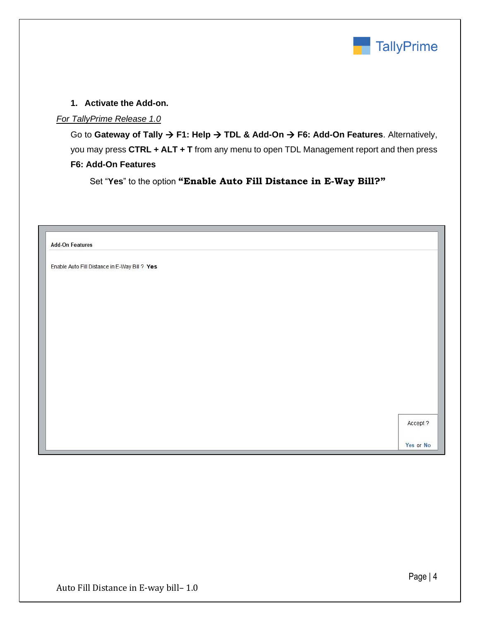

### **1. Activate the Add-on.**

### *For TallyPrime Release 1.0*

Go to **Gateway of Tally** → **F1: Help** → **TDL & Add-On** → **F6: Add-On Features**. Alternatively, you may press **CTRL + ALT + T** from any menu to open TDL Management report and then press **F6: Add-On Features**

Set "**Yes**" to the option **"Enable Auto Fill Distance in E-Way Bill?"**

| <b>Add-On Features</b>                        |          |
|-----------------------------------------------|----------|
| Enable Auto Fill Distance in E-Way Bill ? Yes |          |
|                                               |          |
|                                               |          |
|                                               |          |
|                                               |          |
|                                               |          |
|                                               |          |
|                                               |          |
|                                               |          |
|                                               |          |
|                                               |          |
|                                               |          |
|                                               |          |
|                                               | Accept ? |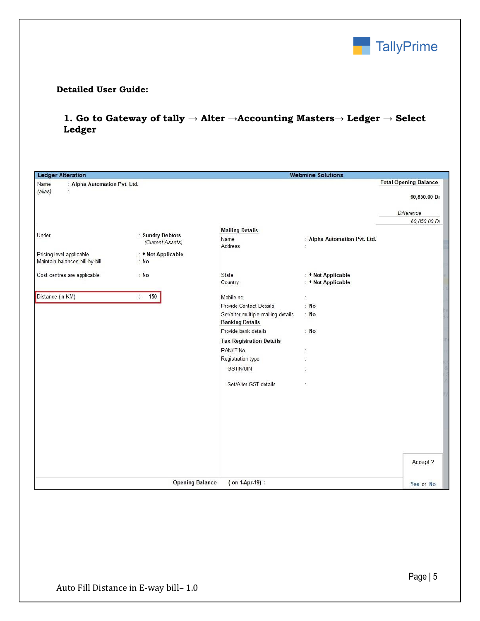

#### **Detailed User Guide:**

## **1. Go to Gateway of tally → Alter →Accounting Masters→ Ledger → Select Ledger**

| <b>Ledger Alteration</b>                                   |                            |                                    | <b>Webmine Solutions</b>                 |                              |  |  |
|------------------------------------------------------------|----------------------------|------------------------------------|------------------------------------------|------------------------------|--|--|
| Name<br>: Alpha Automation Pvt. Ltd.                       |                            |                                    |                                          | <b>Total Opening Balance</b> |  |  |
| (alias)<br>ò                                               |                            |                                    |                                          | 60,850.00 Dr                 |  |  |
|                                                            |                            |                                    |                                          | Difference                   |  |  |
|                                                            |                            |                                    |                                          | 60,850.00 Dr                 |  |  |
| Under                                                      | : Sundry Debtors           | <b>Mailing Details</b>             |                                          |                              |  |  |
|                                                            | (Current Assets)           | Name<br>Address                    | : Alpha Automation Pvt. Ltd.<br>Ď.       |                              |  |  |
| Pricing level applicable<br>Maintain balances bill-by-bill | : • Not Applicable<br>: No |                                    |                                          |                              |  |  |
|                                                            |                            |                                    |                                          |                              |  |  |
| Cost centres are applicable                                | N <sub>o</sub>             | State<br>Country                   | : • Not Applicable<br>: • Not Applicable |                              |  |  |
|                                                            |                            |                                    |                                          |                              |  |  |
| Distance (in KM)                                           | 150<br>÷.                  | Mobile nc.                         | ċ,                                       |                              |  |  |
|                                                            |                            | Provide Contact Details            | : No                                     |                              |  |  |
|                                                            |                            | Set/alter multiple mailing details | : No                                     |                              |  |  |
|                                                            |                            | <b>Banking Details</b>             |                                          |                              |  |  |
|                                                            |                            | Provide bank details               | : No                                     |                              |  |  |
|                                                            |                            | <b>Tax Registration Details</b>    |                                          |                              |  |  |
|                                                            |                            | PAN/IT No.                         | š,                                       |                              |  |  |
|                                                            |                            | Registration type                  | ŧ.                                       |                              |  |  |
|                                                            |                            | <b>GSTIN/UIN</b>                   | ċ,                                       |                              |  |  |
|                                                            |                            | Set/Alter GST details              | ÷                                        |                              |  |  |
|                                                            |                            |                                    |                                          |                              |  |  |
|                                                            |                            |                                    |                                          |                              |  |  |
|                                                            |                            |                                    |                                          |                              |  |  |
|                                                            |                            |                                    |                                          |                              |  |  |
|                                                            |                            |                                    |                                          |                              |  |  |
|                                                            |                            |                                    |                                          |                              |  |  |
|                                                            |                            |                                    |                                          | Accept ?                     |  |  |
|                                                            |                            |                                    |                                          |                              |  |  |
|                                                            | <b>Opening Balance</b>     | (on 1-Apr-19) :                    |                                          | Yes or No                    |  |  |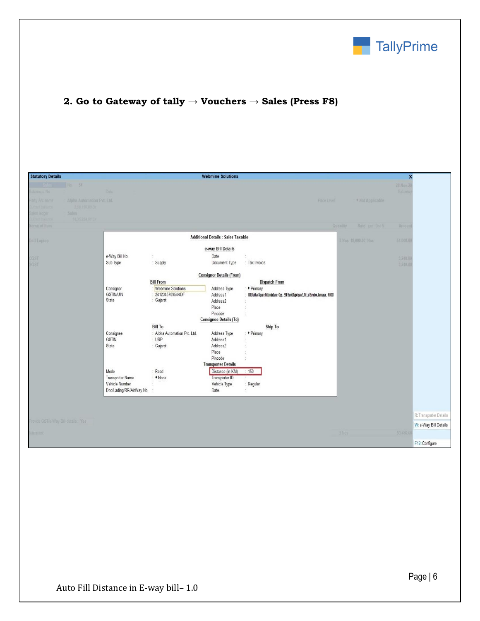

# **2. Go to Gateway of tally → Vouchers → Sales (Press F8)**

| <b>Statutory Details</b>                                          |                                              |                                                            | <b>Webmine Solutions</b>                                                                  |                                                                                                                    |                             | $\overline{\mathsf{x}}$ |                                                 |
|-------------------------------------------------------------------|----------------------------------------------|------------------------------------------------------------|-------------------------------------------------------------------------------------------|--------------------------------------------------------------------------------------------------------------------|-----------------------------|-------------------------|-------------------------------------------------|
| 54<br>eference No<br>Alpha Automation Pvt. Ltd.<br>arty: A/c name | Date                                         |                                                            |                                                                                           | Price Eavel                                                                                                        | * Not Applicable            | 28 Nov 2<br>Saturda     |                                                 |
| 2.51LT50.00 Dr<br>Sales<br>14.05.224.01.01                        |                                              |                                                            |                                                                                           |                                                                                                                    |                             |                         |                                                 |
| lame of Item                                                      |                                              |                                                            |                                                                                           |                                                                                                                    | Rate per Dat %<br>Quantity. | Amoun                   |                                                 |
| <b>Dell Laptop</b>                                                |                                              |                                                            | <b>Additional Details : Sales Taxable</b>                                                 |                                                                                                                    | 3 Nos 18,000.00 Nos         | 54,000.0                |                                                 |
|                                                                   |                                              |                                                            | e-way Bill Details                                                                        |                                                                                                                    |                             |                         |                                                 |
| CGST<br>SGST                                                      | e-Way Bill No.<br>Sub Type                   | : Supply                                                   | Date<br>Document Type                                                                     | : Tax Invoice                                                                                                      |                             | 3,240.0<br>3,240.0      |                                                 |
|                                                                   |                                              | <b>Bill From</b>                                           | <b>Consignor Details (From)</b>                                                           | <b>Dispatch From</b>                                                                                               |                             |                         |                                                 |
|                                                                   | Consignor<br><b>GSTIN/UIN</b><br>State       | <b>Webmine Solutions</b><br>: 241234578954KDF<br>: Gujarat | Address Type<br>Address1<br>Address2<br>Place<br>Pincode<br><b>Consignee Details (To)</b> | : • Primary<br>101 Madhav Square, Nr. Limda Lane, Opp., SBI Bank, Rajputpara-3, Nr. Lal Bunglow, Jamnagar., 361001 |                             |                         |                                                 |
|                                                                   |                                              | <b>Bill To</b>                                             |                                                                                           | Ship To                                                                                                            |                             |                         |                                                 |
|                                                                   | Consignee<br>GSTIN<br>State                  | : Alpha Automation Pvt. Ltd.<br>$:$ URP<br>: Gujarat       | Address Type<br>Address1<br>Address2<br>Place<br>Pincode<br><b>Transporter Details</b>    | : • Primary<br>÷<br>÷.                                                                                             |                             |                         |                                                 |
|                                                                   | Mode<br><b>Transporter Name</b>              | Road<br>$\diamond$ None                                    | Distance (in KM)<br>Transporter ID                                                        | : 150                                                                                                              |                             |                         |                                                 |
|                                                                   | Vehicle Number<br>Doc/Lading/RR/AirWay No. : |                                                            | Vehicle Type<br>Date                                                                      | : Regular<br>÷                                                                                                     |                             |                         |                                                 |
|                                                                   |                                              |                                                            |                                                                                           |                                                                                                                    |                             |                         |                                                 |
| Provide GST/e-Way Bill details: Yes                               |                                              |                                                            |                                                                                           |                                                                                                                    |                             |                         | R: Transporter Details<br>W: e-Way Bill Details |
| lamation:                                                         |                                              |                                                            |                                                                                           |                                                                                                                    | 3 Nos                       | (00, 480.0)             |                                                 |
|                                                                   |                                              |                                                            |                                                                                           |                                                                                                                    |                             |                         | F12: Configure                                  |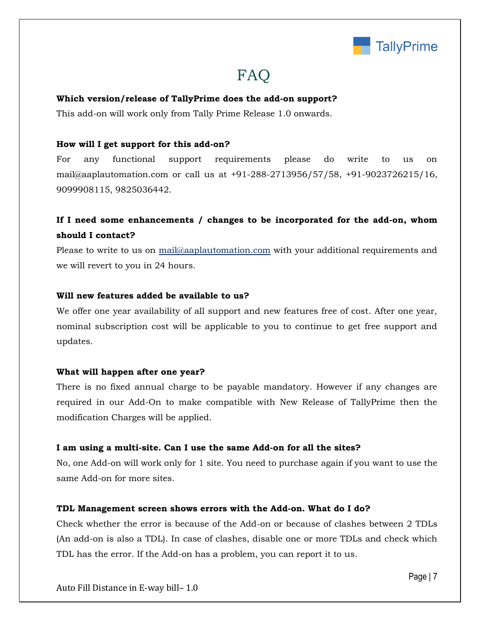

# **FAQ**

#### **Which version/release of TallyPrime does the add-on support?**

This add-on will work only from Tally Prime Release 1.0 onwards.

#### **How will I get support for this add-on?**

For any functional support requirements please do write to us on mail@aaplautomation.com or call us at +91-288-2713956/57/58, +91-9023726215/16, 9099908115, 9825036442.

## **If I need some enhancements / changes to be incorporated for the add-on, whom should I contact?**

Please to write to us on mail@aaplautomation.com with your additional requirements and we will revert to you in 24 hours.

#### **Will new features added be available to us?**

We offer one year availability of all support and new features free of cost. After one year, nominal subscription cost will be applicable to you to continue to get free support and updates.

#### **What will happen after one year?**

There is no fixed annual charge to be payable mandatory. However if any changes are required in our Add-On to make compatible with New Release of TallyPrime then the modification Charges will be applied.

#### **I am using a multi-site. Can I use the same Add-on for all the sites?**

No, one Add-on will work only for 1 site. You need to purchase again if you want to use the same Add-on for more sites.

#### **TDL Management screen shows errors with the Add-on. What do I do?**

Check whether the error is because of the Add-on or because of clashes between 2 TDLs (An add-on is also a TDL). In case of clashes, disable one or more TDLs and check which TDL has the error. If the Add-on has a problem, you can report it to us.